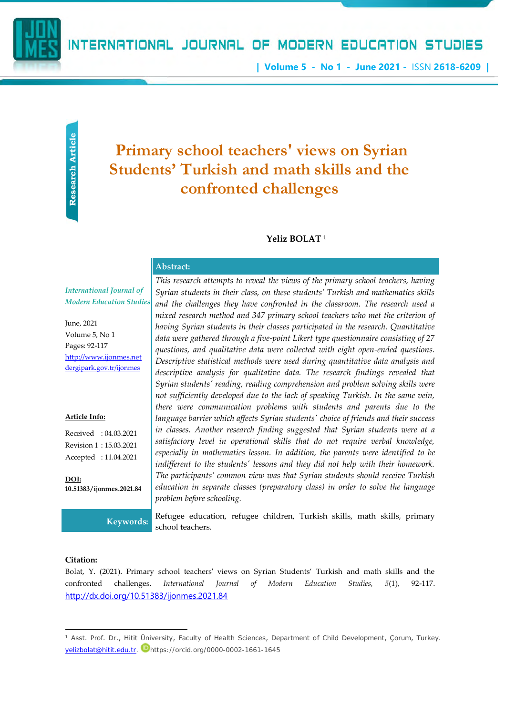

# INTERNATIONAL JOURNAL OF MODERN EDUCATION STUDIES

**| Volume 5 - No 1 - June 2021 -** ISSN **2618-6209 |**

# **Primary school teachers' views on Syrian Students' Turkish and math skills and the confronted challenges**

## **Yeliz BOLAT** <sup>1</sup>

# **Abstract:**

*International Journal of Modern Education Studies*

June, 2021 Volume 5, No 1 Pages: 92-117 [http://www.ijonmes.net](http://www.ijonmes.net/) [dergipark.gov.tr/ijonmes](http://www.dergipark.gov.tr/ijonmes)

#### **Article Info:**

Received : 04.03.2021 Revision 1 : 15.03.2021 Accepted : 11.04.2021

**DOI: 10.51383/ijonmes.2021.84**

*This research attempts to reveal the views of the primary school teachers, having Syrian students in their class, on these students' Turkish and mathematics skills and the challenges they have confronted in the classroom. The research used a mixed research method and 347 primary school teachers who met the criterion of having Syrian students in their classes participated in the research. Quantitative data were gathered through a five-point Likert type questionnaire consisting of 27 questions, and qualitative data were collected with eight open-ended questions. Descriptive statistical methods were used during quantitative data analysis and descriptive analysis for qualitative data. The research findings revealed that Syrian students' reading, reading comprehension and problem solving skills were not sufficiently developed due to the lack of speaking Turkish. In the same vein, there were communication problems with students and parents due to the language barrier which affects Syrian students' choice of friends and their success in classes. Another research finding suggested that Syrian students were at a satisfactory level in operational skills that do not require verbal knowledge, especially in mathematics lesson. In addition, the parents were identified to be indifferent to the students' lessons and they did not help with their homework. The participants' common view was that Syrian students should receive Turkish education in separate classes (preparatory class) in order to solve the language problem before schooling.*

**Keywords:** Refugee education, refugee children, Turkish skills, math skills, primary school teachers.

#### **Citation:**

Bolat, Y. (2021). Primary school teachers' views on Syrian Students' Turkish and math skills and the confronted challenges. *International Journal of Modern Education Studies, 5*(1), 92-117. <http://dx.doi.org/10.51383/ijonmes.2021.84>

<sup>1</sup> Asst. Prof. Dr., Hitit Üniversity, Faculty of Health Sciences, Department of Child Development, Çorum, Turkey. [yelizbolat@hitit.edu.tr.](mailto:yelizbolat@hitit.edu.tr) Dhttps://orcid.org/0000-0002-1661-1645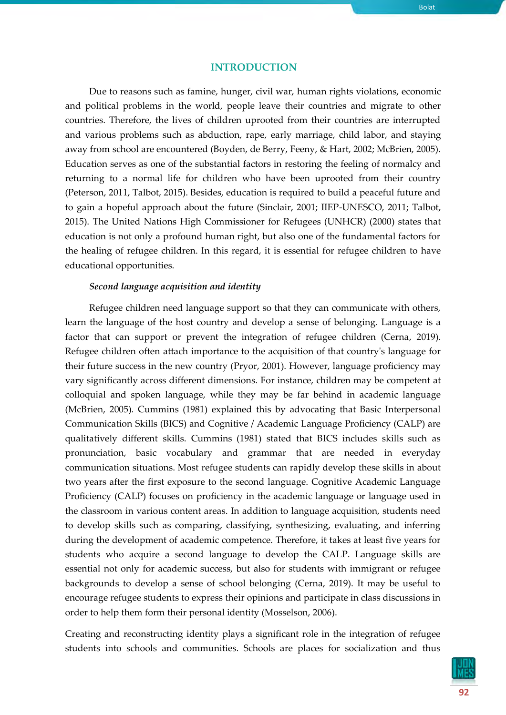#### **INTRODUCTION**

Due to reasons such as famine, hunger, civil war, human rights violations, economic and political problems in the world, people leave their countries and migrate to other countries. Therefore, the lives of children uprooted from their countries are interrupted and various problems such as abduction, rape, early marriage, child labor, and staying away from school are encountered (Boyden, de Berry, Feeny, & Hart, 2002; McBrien, 2005). Education serves as one of the substantial factors in restoring the feeling of normalcy and returning to a normal life for children who have been uprooted from their country (Peterson, 2011, Talbot, 2015). Besides, education is required to build a peaceful future and to gain a hopeful approach about the future (Sinclair, 2001; IIEP-UNESCO, 2011; Talbot, 2015). The United Nations High Commissioner for Refugees (UNHCR) (2000) states that education is not only a profound human right, but also one of the fundamental factors for the healing of refugee children. In this regard, it is essential for refugee children to have educational opportunities.

# *Second language acquisition and identity*

Refugee children need language support so that they can communicate with others, learn the language of the host country and develop a sense of belonging. Language is a factor that can support or prevent the integration of refugee children (Cerna, 2019). Refugee children often attach importance to the acquisition of that country's language for their future success in the new country (Pryor, 2001). However, language proficiency may vary significantly across different dimensions. For instance, children may be competent at colloquial and spoken language, while they may be far behind in academic language (McBrien, 2005). Cummins (1981) explained this by advocating that Basic Interpersonal Communication Skills (BICS) and Cognitive / Academic Language Proficiency (CALP) are qualitatively different skills. Cummins (1981) stated that BICS includes skills such as pronunciation, basic vocabulary and grammar that are needed in everyday communication situations. Most refugee students can rapidly develop these skills in about two years after the first exposure to the second language. Cognitive Academic Language Proficiency (CALP) focuses on proficiency in the academic language or language used in the classroom in various content areas. In addition to language acquisition, students need to develop skills such as comparing, classifying, synthesizing, evaluating, and inferring during the development of academic competence. Therefore, it takes at least five years for students who acquire a second language to develop the CALP. Language skills are essential not only for academic success, but also for students with immigrant or refugee backgrounds to develop a sense of school belonging (Cerna, 2019). It may be useful to encourage refugee students to express their opinions and participate in class discussions in order to help them form their personal identity (Mosselson, 2006).

Creating and reconstructing identity plays a significant role in the integration of refugee students into schools and communities. Schools are places for socialization and thus

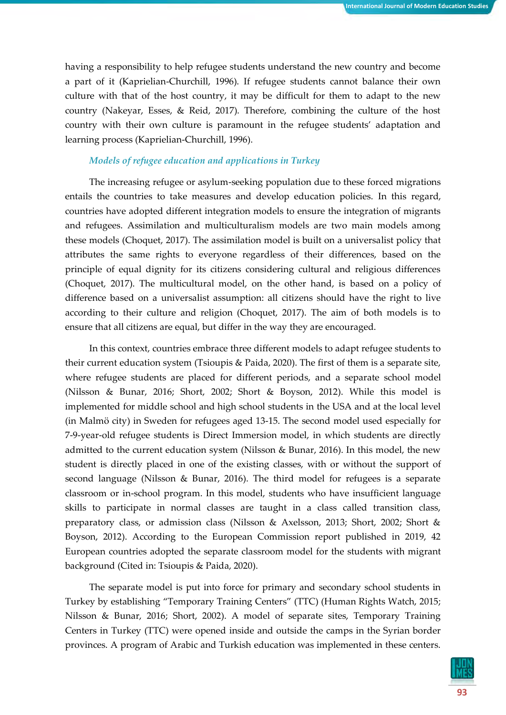having a responsibility to help refugee students understand the new country and become a part of it (Kaprielian-Churchill, 1996). If refugee students cannot balance their own culture with that of the host country, it may be difficult for them to adapt to the new country (Nakeyar, Esses, & Reid, 2017). Therefore, combining the culture of the host country with their own culture is paramount in the refugee students' adaptation and learning process (Kaprielian-Churchill, 1996).

## *Models of refugee education and applications in Turkey*

The increasing refugee or asylum-seeking population due to these forced migrations entails the countries to take measures and develop education policies. In this regard, countries have adopted different integration models to ensure the integration of migrants and refugees. Assimilation and multiculturalism models are two main models among these models (Choquet, 2017). The assimilation model is built on a universalist policy that attributes the same rights to everyone regardless of their differences, based on the principle of equal dignity for its citizens considering cultural and religious differences (Choquet, 2017). The multicultural model, on the other hand, is based on a policy of difference based on a universalist assumption: all citizens should have the right to live according to their culture and religion (Choquet, 2017). The aim of both models is to ensure that all citizens are equal, but differ in the way they are encouraged.

In this context, countries embrace three different models to adapt refugee students to their current education system (Tsioupis & Paida, 2020). The first of them is a separate site, where refugee students are placed for different periods, and a separate school model (Nilsson & Bunar, 2016; Short, 2002; Short & Boyson, 2012). While this model is implemented for middle school and high school students in the USA and at the local level (in Malmö city) in Sweden for refugees aged 13-15. The second model used especially for 7-9-year-old refugee students is Direct Immersion model, in which students are directly admitted to the current education system (Nilsson & Bunar, 2016). In this model, the new student is directly placed in one of the existing classes, with or without the support of second language (Nilsson & Bunar, 2016). The third model for refugees is a separate classroom or in-school program. In this model, students who have insufficient language skills to participate in normal classes are taught in a class called transition class, preparatory class, or admission class (Nilsson & Axelsson, 2013; Short, 2002; Short & Boyson, 2012). According to the European Commission report published in 2019, 42 European countries adopted the separate classroom model for the students with migrant background (Cited in: Tsioupis & Paida, 2020).

The separate model is put into force for primary and secondary school students in Turkey by establishing "Temporary Training Centers" (TTC) (Human Rights Watch, 2015; Nilsson & Bunar, 2016; Short, 2002). A model of separate sites, Temporary Training Centers in Turkey (TTC) were opened inside and outside the camps in the Syrian border provinces. A program of Arabic and Turkish education was implemented in these centers.

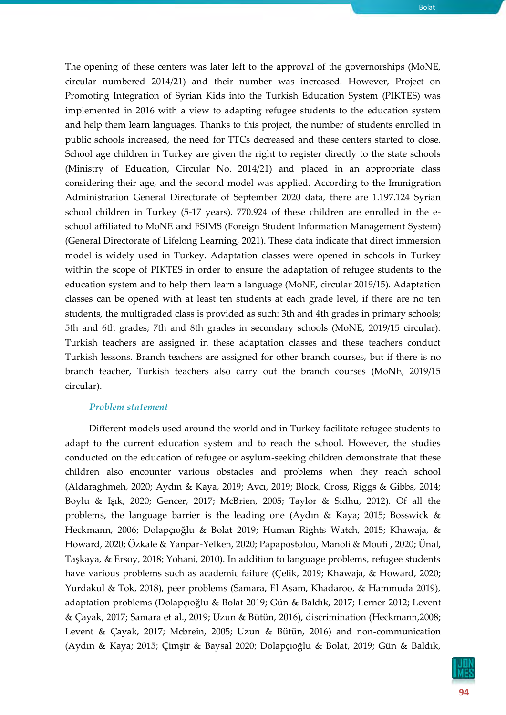The opening of these centers was later left to the approval of the governorships (MoNE, circular numbered 2014/21) and their number was increased. However, Project on Promoting Integration of Syrian Kids into the Turkish Education System (PIKTES) was implemented in 2016 with a view to adapting refugee students to the education system and help them learn languages. Thanks to this project, the number of students enrolled in public schools increased, the need for TTCs decreased and these centers started to close. School age children in Turkey are given the right to register directly to the state schools (Ministry of Education, Circular No. 2014/21) and placed in an appropriate class considering their age, and the second model was applied. According to the Immigration Administration General Directorate of September 2020 data, there are 1.197.124 Syrian school children in Turkey (5-17 years). 770.924 of these children are enrolled in the eschool affiliated to MoNE and FSIMS (Foreign Student Information Management System) (General Directorate of Lifelong Learning, 2021). These data indicate that direct immersion model is widely used in Turkey. Adaptation classes were opened in schools in Turkey within the scope of PIKTES in order to ensure the adaptation of refugee students to the education system and to help them learn a language (MoNE, circular 2019/15). Adaptation classes can be opened with at least ten students at each grade level, if there are no ten students, the multigraded class is provided as such: 3th and 4th grades in primary schools; 5th and 6th grades; 7th and 8th grades in secondary schools (MoNE, 2019/15 circular). Turkish teachers are assigned in these adaptation classes and these teachers conduct Turkish lessons. Branch teachers are assigned for other branch courses, but if there is no branch teacher, Turkish teachers also carry out the branch courses (MoNE, 2019/15 circular).

#### *Problem statement*

Different models used around the world and in Turkey facilitate refugee students to adapt to the current education system and to reach the school. However, the studies conducted on the education of refugee or asylum-seeking children demonstrate that these children also encounter various obstacles and problems when they reach school (Aldaraghmeh, 2020; Aydın & Kaya, 2019; Avcı, 2019; Block, Cross, Riggs & Gibbs, 2014; Boylu & Işık, 2020; Gencer, 2017; McBrien, 2005; Taylor & Sidhu, 2012). Of all the problems, the language barrier is the leading one (Aydın & Kaya; 2015; Bosswick & Heckmann, 2006; Dolapçıoğlu & Bolat 2019; Human Rights Watch, 2015; Khawaja, & Howard, 2020; Özkale & Yanpar-Yelken, 2020; Papapostolou, Manoli & Mouti , 2020; Ünal, Taşkaya, & Ersoy, 2018; Yohani, 2010). In addition to language problems, refugee students have various problems such as academic failure (Çelik, 2019; Khawaja, & Howard, 2020; Yurdakul & Tok, 2018), peer problems (Samara, El Asam, Khadaroo, & Hammuda 2019), adaptation problems (Dolapçıoğlu & Bolat 2019; Gün & Baldık, 2017; Lerner 2012; Levent & Çayak, 2017; Samara et al., 2019; Uzun & Bütün, 2016), discrimination (Heckmann,2008; Levent & Çayak, 2017; Mcbrein, 2005; Uzun & Bütün, 2016) and non-communication (Aydın & Kaya; 2015; Çimşir & Baysal 2020; Dolapçıoğlu & Bolat, 2019; Gün & Baldık,

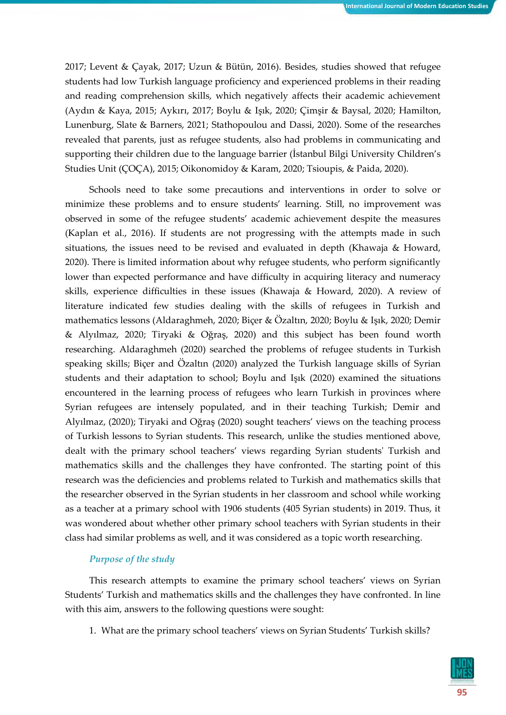2017; Levent & Çayak, 2017; Uzun & Bütün, 2016). Besides, studies showed that refugee students had low Turkish language proficiency and experienced problems in their reading and reading comprehension skills, which negatively affects their academic achievement (Aydın & Kaya, 2015; Aykırı, 2017; Boylu & Işık, 2020; Çimşir & Baysal, 2020; Hamilton, Lunenburg, Slate & Barners, 2021; Stathopoulou and Dassi, 2020). Some of the researches revealed that parents, just as refugee students, also had problems in communicating and supporting their children due to the language barrier (İstanbul Bilgi University Children's Studies Unit (ÇOÇA), 2015; Oikonomidoy & Karam, 2020; Tsioupis, & Paida, 2020).

Schools need to take some precautions and interventions in order to solve or minimize these problems and to ensure students' learning. Still, no improvement was observed in some of the refugee students' academic achievement despite the measures (Kaplan et al., 2016). If students are not progressing with the attempts made in such situations, the issues need to be revised and evaluated in depth (Khawaja & Howard, 2020). There is limited information about why refugee students, who perform significantly lower than expected performance and have difficulty in acquiring literacy and numeracy skills, experience difficulties in these issues (Khawaja & Howard, 2020). A review of literature indicated few studies dealing with the skills of refugees in Turkish and mathematics lessons (Aldaraghmeh, 2020; Biçer & Özaltın, 2020; Boylu & Işık, 2020; Demir & Alyılmaz, 2020; Tiryaki & Oğraş, 2020) and this subject has been found worth researching. Aldaraghmeh (2020) searched the problems of refugee students in Turkish speaking skills; Biçer and Özaltın (2020) analyzed the Turkish language skills of Syrian students and their adaptation to school; Boylu and Işık (2020) examined the situations encountered in the learning process of refugees who learn Turkish in provinces where Syrian refugees are intensely populated, and in their teaching Turkish; Demir and Alyılmaz, (2020); Tiryaki and Oğraş (2020) sought teachers' views on the teaching process of Turkish lessons to Syrian students. This research, unlike the studies mentioned above, dealt with the primary school teachers' views regarding Syrian students' Turkish and mathematics skills and the challenges they have confronted. The starting point of this research was the deficiencies and problems related to Turkish and mathematics skills that the researcher observed in the Syrian students in her classroom and school while working as a teacher at a primary school with 1906 students (405 Syrian students) in 2019. Thus, it was wondered about whether other primary school teachers with Syrian students in their class had similar problems as well, and it was considered as a topic worth researching.

## *Purpose of the study*

This research attempts to examine the primary school teachers' views on Syrian Students' Turkish and mathematics skills and the challenges they have confronted. In line with this aim, answers to the following questions were sought:

1. What are the primary school teachers' views on Syrian Students' Turkish skills?

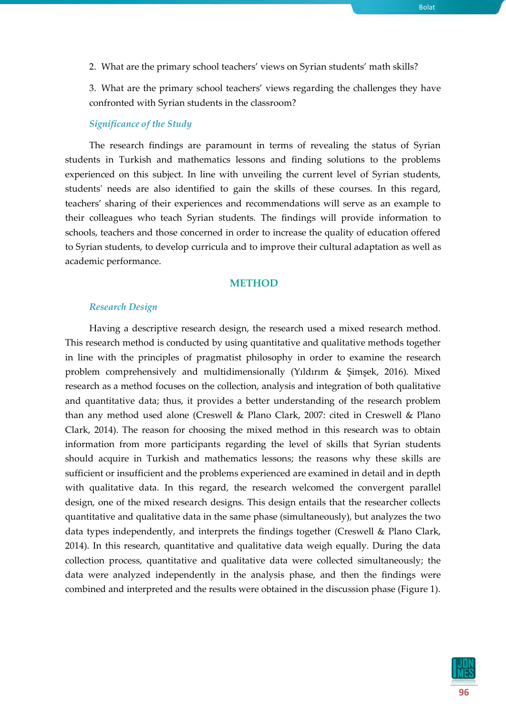2. What are the primary school teachers' views on Syrian students' math skills?

3. What are the primary school teachers' views regarding the challenges they have confronted with Syrian students in the classroom?

#### *Significance of the Study*

The research findings are paramount in terms of revealing the status of Syrian students in Turkish and mathematics lessons and finding solutions to the problems experienced on this subject. In line with unveiling the current level of Syrian students, students' needs are also identified to gain the skills of these courses. In this regard, teachers' sharing of their experiences and recommendations will serve as an example to their colleagues who teach Syrian students. The findings will provide information to schools, teachers and those concerned in order to increase the quality of education offered to Syrian students, to develop curricula and to improve their cultural adaptation as well as academic performance.

## **METHOD**

#### *Research Design*

Having a descriptive research design, the research used a mixed research method. This research method is conducted by using quantitative and qualitative methods together in line with the principles of pragmatist philosophy in order to examine the research problem comprehensively and multidimensionally (Yıldırım & Şimşek, 2016). Mixed research as a method focuses on the collection, analysis and integration of both qualitative and quantitative data; thus, it provides a better understanding of the research problem than any method used alone (Creswell & Plano Clark, 2007: cited in Creswell & Plano Clark, 2014). The reason for choosing the mixed method in this research was to obtain information from more participants regarding the level of skills that Syrian students should acquire in Turkish and mathematics lessons; the reasons why these skills are sufficient or insufficient and the problems experienced are examined in detail and in depth with qualitative data. In this regard, the research welcomed the convergent parallel design, one of the mixed research designs. This design entails that the researcher collects quantitative and qualitative data in the same phase (simultaneously), but analyzes the two data types independently, and interprets the findings together (Creswell & Plano Clark, 2014). In this research, quantitative and qualitative data weigh equally. During the data collection process, quantitative and qualitative data were collected simultaneously; the data were analyzed independently in the analysis phase, and then the findings were combined and interpreted and the results were obtained in the discussion phase (Figure 1).

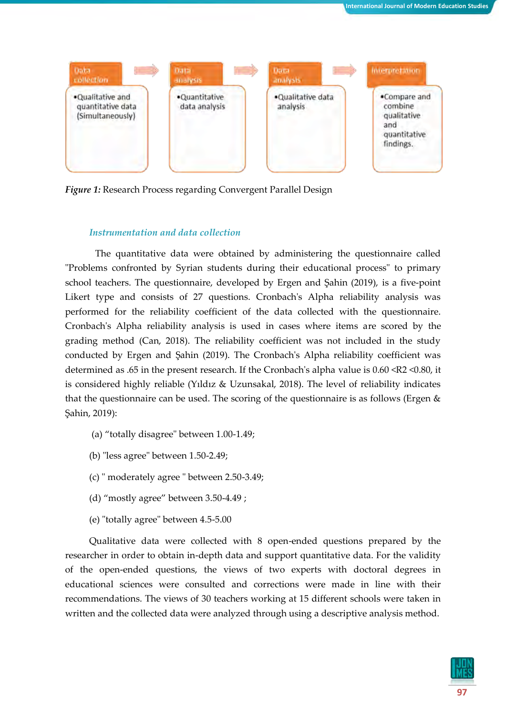

*Figure 1:* Research Process regarding Convergent Parallel Design

## *Instrumentation and data collection*

The quantitative data were obtained by administering the questionnaire called "Problems confronted by Syrian students during their educational process" to primary school teachers. The questionnaire, developed by Ergen and Şahin (2019), is a five-point Likert type and consists of 27 questions. Cronbach's Alpha reliability analysis was performed for the reliability coefficient of the data collected with the questionnaire. Cronbach's Alpha reliability analysis is used in cases where items are scored by the grading method (Can, 2018). The reliability coefficient was not included in the study conducted by Ergen and Şahin (2019). The Cronbach's Alpha reliability coefficient was determined as .65 in the present research. If the Cronbach's alpha value is 0.60 <R2 <0.80, it is considered highly reliable (Yıldız & Uzunsakal, 2018). The level of reliability indicates that the questionnaire can be used. The scoring of the questionnaire is as follows (Ergen  $\&$ Şahin, 2019):

- (a) "totally disagree" between 1.00-1.49;
- (b) "less agree" between 1.50-2.49;
- (c) " moderately agree " between 2.50-3.49;
- (d) "mostly agree" between 3.50-4.49 ;
- (e) "totally agree" between 4.5-5.00

Qualitative data were collected with 8 open-ended questions prepared by the researcher in order to obtain in-depth data and support quantitative data. For the validity of the open-ended questions, the views of two experts with doctoral degrees in educational sciences were consulted and corrections were made in line with their recommendations. The views of 30 teachers working at 15 different schools were taken in written and the collected data were analyzed through using a descriptive analysis method.

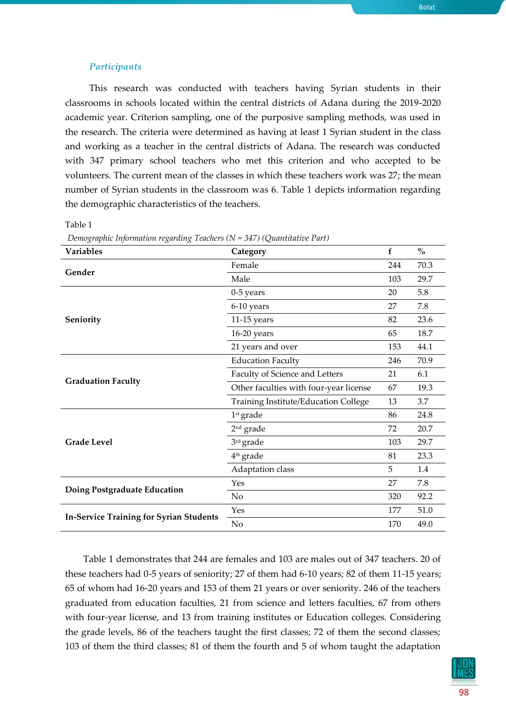#### *Participants*

This research was conducted with teachers having Syrian students in their classrooms in schools located within the central districts of Adana during the 2019-2020 academic year. Criterion sampling, one of the purposive sampling methods, was used in the research. The criteria were determined as having at least 1 Syrian student in the class and working as a teacher in the central districts of Adana. The research was conducted with 347 primary school teachers who met this criterion and who accepted to be volunteers. The current mean of the classes in which these teachers work was 27; the mean number of Syrian students in the classroom was 6. Table 1 depicts information regarding the demographic characteristics of the teachers.

Table 1

| <b>Variables</b>                               | Category                               | $\mathbf f$ | $\frac{0}{0}$ |
|------------------------------------------------|----------------------------------------|-------------|---------------|
|                                                | Female                                 |             | 70.3          |
| Gender                                         | Male                                   | 103         | 29.7          |
|                                                | $0-5$ years                            |             | 5.8           |
|                                                | 6-10 years                             |             | 7.8           |
| Seniority                                      | $11-15$ years                          |             | 23.6          |
|                                                | 16-20 years                            |             | 18.7          |
|                                                | 21 years and over                      | 153         | 44.1          |
|                                                | <b>Education Faculty</b>               |             | 70.9          |
|                                                | Faculty of Science and Letters         |             | 6.1           |
| <b>Graduation Faculty</b>                      | Other faculties with four-year license |             | 19.3          |
|                                                | Training Institute/Education College   |             | 3.7           |
|                                                | $1st$ grade                            |             | 24.8          |
|                                                | $2nd$ grade                            |             | 20.7          |
| <b>Grade Level</b>                             | 3rd grade                              |             | 29.7          |
|                                                | 4 <sup>th</sup> grade                  | 81          | 23.3          |
|                                                | Adaptation class                       | 5           | 1.4           |
|                                                | Yes                                    | 27          | 7.8           |
| Doing Postgraduate Education                   | No                                     | 320         | 92.2          |
|                                                | Yes                                    | 177         | 51.0          |
| <b>In-Service Training for Syrian Students</b> | No                                     | 170         | 49.0          |

*Demographic Information regarding Teachers (N = 347) (Quantitative Part)*

Table 1 demonstrates that 244 are females and 103 are males out of 347 teachers. 20 of these teachers had 0-5 years of seniority; 27 of them had 6-10 years; 82 of them 11-15 years; 65 of whom had 16-20 years and 153 of them 21 years or over seniority. 246 of the teachers graduated from education faculties, 21 from science and letters faculties, 67 from others with four-year license, and 13 from training institutes or Education colleges. Considering the grade levels, 86 of the teachers taught the first classes; 72 of them the second classes; 103 of them the third classes; 81 of them the fourth and 5 of whom taught the adaptation

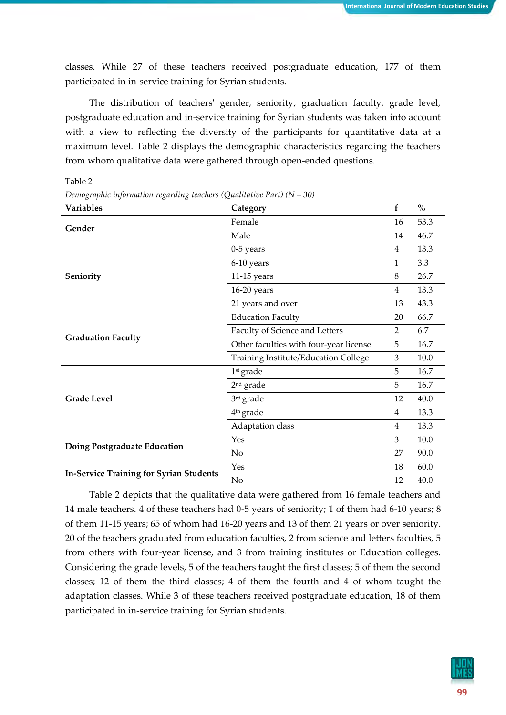classes. While 27 of these teachers received postgraduate education, 177 of them participated in in-service training for Syrian students.

The distribution of teachers' gender, seniority, graduation faculty, grade level, postgraduate education and in-service training for Syrian students was taken into account with a view to reflecting the diversity of the participants for quantitative data at a maximum level. Table 2 displays the demographic characteristics regarding the teachers from whom qualitative data were gathered through open-ended questions.

Table 2

| <b>Variables</b>                               | Category                                    | f              | $\mathbf{0}_{\mathbf{0}}^{\prime}$ |
|------------------------------------------------|---------------------------------------------|----------------|------------------------------------|
| Gender                                         | Female                                      | 16             | 53.3                               |
|                                                | Male                                        | 14             | 46.7                               |
|                                                | $0-5$ years                                 | $\overline{4}$ | 13.3                               |
|                                                | 6-10 years                                  | 1              | 3.3                                |
| Seniority                                      | $11-15$ years                               | 8              | 26.7                               |
|                                                | $16-20$ years                               |                | 13.3                               |
|                                                | 21 years and over                           | 13             | 43.3                               |
|                                                | <b>Education Faculty</b>                    | 20             | 66.7                               |
|                                                | Faculty of Science and Letters              | $\overline{2}$ | 6.7<br>16.7<br>10.0                |
| <b>Graduation Faculty</b>                      | Other faculties with four-year license      | 5              |                                    |
|                                                | <b>Training Institute/Education College</b> | 3              |                                    |
|                                                | $1st$ grade                                 | 5              | 16.7                               |
|                                                | $2nd$ grade                                 | 5              | 16.7                               |
| <b>Grade Level</b>                             | 3rd grade                                   | 12             | 40.0                               |
|                                                | 4 <sup>th</sup> grade                       | 4              | 13.3                               |
|                                                | Adaptation class                            | $\overline{4}$ | 13.3                               |
|                                                | Yes                                         | 3              | $10.0\,$                           |
| Doing Postgraduate Education                   | N <sub>o</sub>                              | 27             | 90.0                               |
|                                                | Yes                                         | 18             | 60.0                               |
| <b>In-Service Training for Syrian Students</b> | No                                          | 12             | 40.0                               |

*Demographic information regarding teachers (Qualitative Part) (N = 30)*

Table 2 depicts that the qualitative data were gathered from 16 female teachers and 14 male teachers. 4 of these teachers had 0-5 years of seniority; 1 of them had 6-10 years; 8 of them 11-15 years; 65 of whom had 16-20 years and 13 of them 21 years or over seniority. 20 of the teachers graduated from education faculties, 2 from science and letters faculties, 5 from others with four-year license, and 3 from training institutes or Education colleges. Considering the grade levels, 5 of the teachers taught the first classes; 5 of them the second classes; 12 of them the third classes; 4 of them the fourth and 4 of whom taught the adaptation classes. While 3 of these teachers received postgraduate education, 18 of them participated in in-service training for Syrian students.

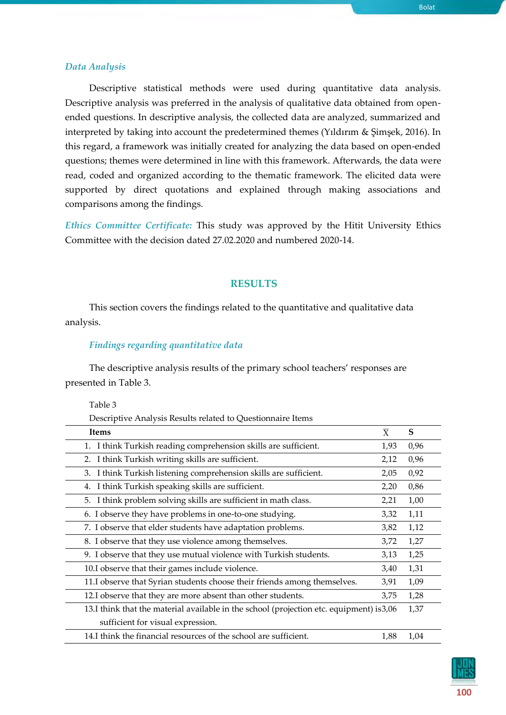## *Data Analysis*

Descriptive statistical methods were used during quantitative data analysis. Descriptive analysis was preferred in the analysis of qualitative data obtained from openended questions. In descriptive analysis, the collected data are analyzed, summarized and interpreted by taking into account the predetermined themes (Yıldırım & Şimşek, 2016). In this regard, a framework was initially created for analyzing the data based on open-ended questions; themes were determined in line with this framework. Afterwards, the data were read, coded and organized according to the thematic framework. The elicited data were supported by direct quotations and explained through making associations and comparisons among the findings.

*Ethics Committee Certificate:* This study was approved by the Hitit University Ethics Committee with the decision dated 27.02.2020 and numbered 2020-14.

## **RESULTS**

This section covers the findings related to the quantitative and qualitative data analysis.

#### *Findings regarding quantitative data*

The descriptive analysis results of the primary school teachers' responses are presented in Table 3.

#### Table 3

Descriptive Analysis Results related to Questionnaire Items

| <b>Items</b>                                                                             | $\overline{X}$ | S    |
|------------------------------------------------------------------------------------------|----------------|------|
| I think Turkish reading comprehension skills are sufficient.                             | 1,93           | 0,96 |
| I think Turkish writing skills are sufficient.<br>2.                                     | 2,12           | 0,96 |
| I think Turkish listening comprehension skills are sufficient.<br>3.                     | 2,05           | 0,92 |
| I think Turkish speaking skills are sufficient.<br>4.                                    | 2,20           | 0,86 |
| I think problem solving skills are sufficient in math class.<br>5.                       | 2,21           | 1,00 |
| 6. I observe they have problems in one-to-one studying.                                  | 3,32           | 1,11 |
| 7. I observe that elder students have adaptation problems.                               | 3,82           | 1,12 |
| 8. I observe that they use violence among themselves.                                    | 3,72           | 1,27 |
| 9. I observe that they use mutual violence with Turkish students.                        | 3,13           | 1,25 |
| 10.I observe that their games include violence.                                          | 3,40           | 1,31 |
| 11.I observe that Syrian students choose their friends among themselves.                 | 3,91           | 1,09 |
| 12.I observe that they are more absent than other students.                              | 3,75           | 1,28 |
| 13.I think that the material available in the school (projection etc. equipment) is 3,06 |                | 1,37 |
| sufficient for visual expression.                                                        |                |      |
| 14.I think the financial resources of the school are sufficient.                         | 1,88           | 1,04 |

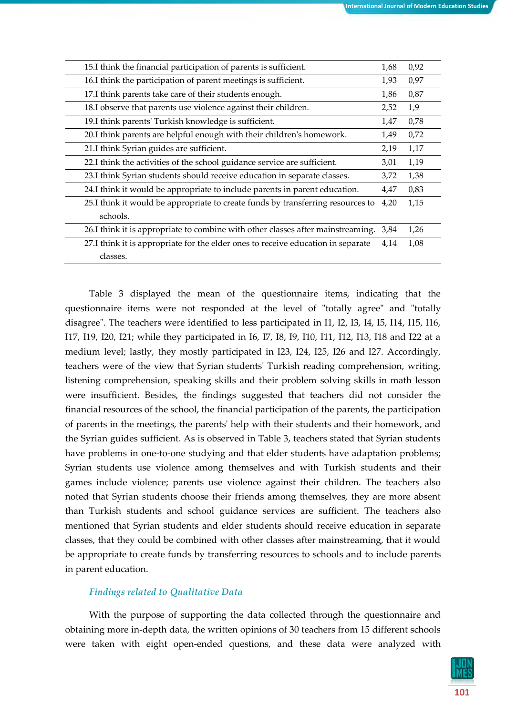| 15.I think the financial participation of parents is sufficient.                 | 1,68 | 0,92 |
|----------------------------------------------------------------------------------|------|------|
| 16.I think the participation of parent meetings is sufficient.                   | 1,93 | 0,97 |
| 17.I think parents take care of their students enough.                           | 1,86 | 0,87 |
| 18.I observe that parents use violence against their children.                   | 2,52 | 1,9  |
| 19.I think parents' Turkish knowledge is sufficient.                             | 1,47 | 0,78 |
| 20.I think parents are helpful enough with their children's homework.            | 1,49 | 0,72 |
| 21.I think Syrian guides are sufficient.                                         | 2,19 | 1,17 |
| 22.I think the activities of the school guidance service are sufficient.         | 3,01 | 1,19 |
| 23.I think Syrian students should receive education in separate classes.         | 3,72 | 1,38 |
| 24.I think it would be appropriate to include parents in parent education.       | 4,47 | 0,83 |
| 25.I think it would be appropriate to create funds by transferring resources to  | 4,20 | 1,15 |
| schools.                                                                         |      |      |
| 26.I think it is appropriate to combine with other classes after mainstreaming.  | 3,84 | 1,26 |
| 27.I think it is appropriate for the elder ones to receive education in separate | 4,14 | 1,08 |
| classes.                                                                         |      |      |

Table 3 displayed the mean of the questionnaire items, indicating that the questionnaire items were not responded at the level of "totally agree" and "totally disagree". The teachers were identified to less participated in I1, I2, I3, I4, I5, I14, I15, I16, I17, I19, I20, I21; while they participated in I6, I7, I8, I9, I10, I11, I12, I13, I18 and I22 at a medium level; lastly, they mostly participated in I23, I24, I25, I26 and I27. Accordingly, teachers were of the view that Syrian students' Turkish reading comprehension, writing, listening comprehension, speaking skills and their problem solving skills in math lesson were insufficient. Besides, the findings suggested that teachers did not consider the financial resources of the school, the financial participation of the parents, the participation of parents in the meetings, the parents' help with their students and their homework, and the Syrian guides sufficient. As is observed in Table 3, teachers stated that Syrian students have problems in one-to-one studying and that elder students have adaptation problems; Syrian students use violence among themselves and with Turkish students and their games include violence; parents use violence against their children. The teachers also noted that Syrian students choose their friends among themselves, they are more absent than Turkish students and school guidance services are sufficient. The teachers also mentioned that Syrian students and elder students should receive education in separate classes, that they could be combined with other classes after mainstreaming, that it would be appropriate to create funds by transferring resources to schools and to include parents in parent education.

# *Findings related to Qualitative Data*

With the purpose of supporting the data collected through the questionnaire and obtaining more in-depth data, the written opinions of 30 teachers from 15 different schools were taken with eight open-ended questions, and these data were analyzed with

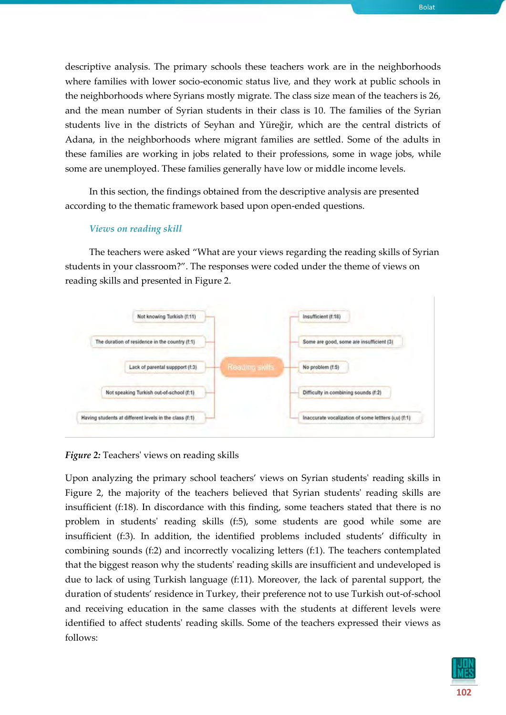descriptive analysis. The primary schools these teachers work are in the neighborhoods where families with lower socio-economic status live, and they work at public schools in the neighborhoods where Syrians mostly migrate. The class size mean of the teachers is 26, and the mean number of Syrian students in their class is 10. The families of the Syrian students live in the districts of Seyhan and Yüreğir, which are the central districts of Adana, in the neighborhoods where migrant families are settled. Some of the adults in these families are working in jobs related to their professions, some in wage jobs, while some are unemployed. These families generally have low or middle income levels.

In this section, the findings obtained from the descriptive analysis are presented according to the thematic framework based upon open-ended questions.

## *Views on reading skill*

The teachers were asked "What are your views regarding the reading skills of Syrian students in your classroom?". The responses were coded under the theme of views on reading skills and presented in Figure 2.



*Figure 2:* Teachers' views on reading skills

Upon analyzing the primary school teachers' views on Syrian students' reading skills in Figure 2, the majority of the teachers believed that Syrian students' reading skills are insufficient (f:18). In discordance with this finding, some teachers stated that there is no problem in students' reading skills (f:5), some students are good while some are insufficient (f:3). In addition, the identified problems included students' difficulty in combining sounds (f:2) and incorrectly vocalizing letters (f:1). The teachers contemplated that the biggest reason why the students' reading skills are insufficient and undeveloped is due to lack of using Turkish language (f:11). Moreover, the lack of parental support, the duration of students' residence in Turkey, their preference not to use Turkish out-of-school and receiving education in the same classes with the students at different levels were identified to affect students' reading skills. Some of the teachers expressed their views as follows:

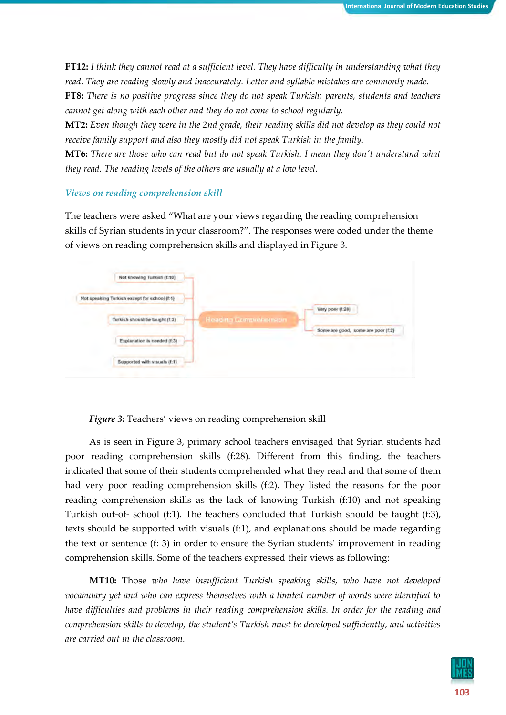**FT12:** *I think they cannot read at a sufficient level. They have difficulty in understanding what they read. They are reading slowly and inaccurately. Letter and syllable mistakes are commonly made.*

**FT8:** *There is no positive progress since they do not speak Turkish; parents, students and teachers cannot get along with each other and they do not come to school regularly.*

**MT2:** *Even though they were in the 2nd grade, their reading skills did not develop as they could not receive family support and also they mostly did not speak Turkish in the family.*

**MT6:** *There are those who can read but do not speak Turkish. I mean they don't understand what they read. The reading levels of the others are usually at a low level.* 

## *Views on reading comprehension skill*

The teachers were asked "What are your views regarding the reading comprehension skills of Syrian students in your classroom?". The responses were coded under the theme of views on reading comprehension skills and displayed in Figure 3.

| Not knowing Turkish (f:10)                   |  |                       |                                    |
|----------------------------------------------|--|-----------------------|------------------------------------|
| Not speaking Turkish except for school (f:1) |  |                       |                                    |
| Turkish should be taught (f:3)               |  | Reading Comprehension | Very poor (f:28)                   |
| Explanation is needed (f:3)                  |  |                       | Some are good, some are poor (f:2) |
| Supported with visuals (f:1).                |  |                       |                                    |

*Figure 3:* Teachers' views on reading comprehension skill

As is seen in Figure 3, primary school teachers envisaged that Syrian students had poor reading comprehension skills (f:28). Different from this finding, the teachers indicated that some of their students comprehended what they read and that some of them had very poor reading comprehension skills (f:2). They listed the reasons for the poor reading comprehension skills as the lack of knowing Turkish (f:10) and not speaking Turkish out-of- school (f:1). The teachers concluded that Turkish should be taught (f:3), texts should be supported with visuals (f:1), and explanations should be made regarding the text or sentence (f: 3) in order to ensure the Syrian students' improvement in reading comprehension skills. Some of the teachers expressed their views as following:

**MT10:** Those *who have insufficient Turkish speaking skills, who have not developed vocabulary yet and who can express themselves with a limited number of words were identified to have difficulties and problems in their reading comprehension skills. In order for the reading and comprehension skills to develop, the student's Turkish must be developed sufficiently, and activities are carried out in the classroom.*

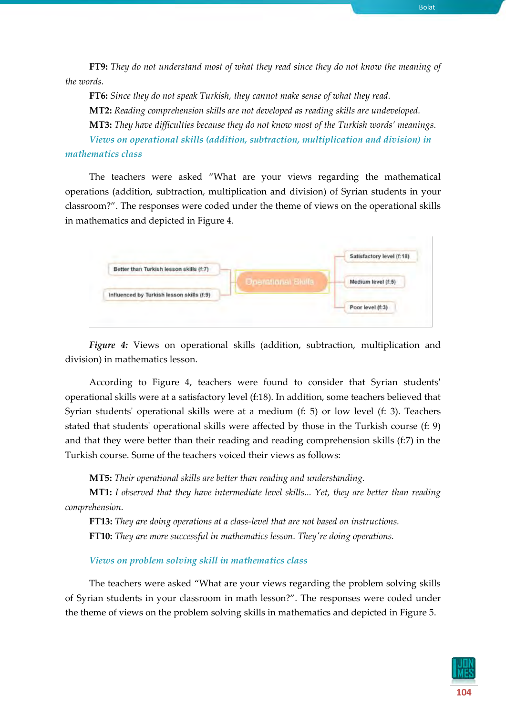**FT9:** *They do not understand most of what they read since they do not know the meaning of the words.*

**FT6:** *Since they do not speak Turkish, they cannot make sense of what they read.* **MT2:** *Reading comprehension skills are not developed as reading skills are undeveloped.* **MT3:** *They have difficulties because they do not know most of the Turkish words' meanings. Views on operational skills (addition, subtraction, multiplication and division) in* 

## *mathematics class*

The teachers were asked "What are your views regarding the mathematical operations (addition, subtraction, multiplication and division) of Syrian students in your classroom?". The responses were coded under the theme of views on the operational skills in mathematics and depicted in Figure 4.



*Figure 4:* Views on operational skills (addition, subtraction, multiplication and division) in mathematics lesson.

According to Figure 4, teachers were found to consider that Syrian students' operational skills were at a satisfactory level (f:18). In addition, some teachers believed that Syrian students' operational skills were at a medium (f: 5) or low level (f: 3). Teachers stated that students' operational skills were affected by those in the Turkish course (f: 9) and that they were better than their reading and reading comprehension skills (f:7) in the Turkish course. Some of the teachers voiced their views as follows:

**MT5:** *Their operational skills are better than reading and understanding.*

**MT1:** *I observed that they have intermediate level skills... Yet, they are better than reading comprehension.*

**FT13:** *They are doing operations at a class-level that are not based on instructions.* **FT10:** *They are more successful in mathematics lesson. They're doing operations.*

# *Views on problem solving skill in mathematics class*

The teachers were asked "What are your views regarding the problem solving skills of Syrian students in your classroom in math lesson?". The responses were coded under the theme of views on the problem solving skills in mathematics and depicted in Figure 5.

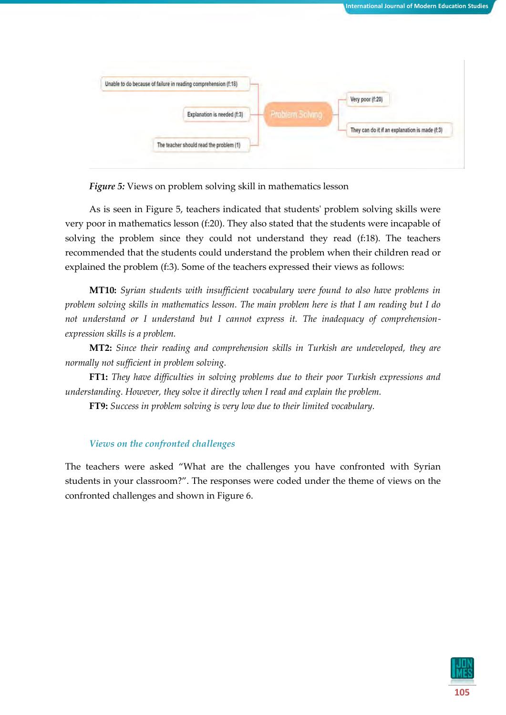



*Figure 5:* Views on problem solving skill in mathematics lesson

As is seen in Figure 5, teachers indicated that students' problem solving skills were very poor in mathematics lesson (f:20). They also stated that the students were incapable of solving the problem since they could not understand they read (f:18). The teachers recommended that the students could understand the problem when their children read or explained the problem (f:3). Some of the teachers expressed their views as follows:

**MT10:** *Syrian students with insufficient vocabulary were found to also have problems in problem solving skills in mathematics lesson. The main problem here is that I am reading but I do not understand or I understand but I cannot express it. The inadequacy of comprehensionexpression skills is a problem.*

**MT2:** *Since their reading and comprehension skills in Turkish are undeveloped, they are normally not sufficient in problem solving.*

**FT1:** *They have difficulties in solving problems due to their poor Turkish expressions and understanding. However, they solve it directly when I read and explain the problem.*

**FT9:** *Success in problem solving is very low due to their limited vocabulary.*

# *Views on the confronted challenges*

The teachers were asked "What are the challenges you have confronted with Syrian students in your classroom?". The responses were coded under the theme of views on the confronted challenges and shown in Figure 6.

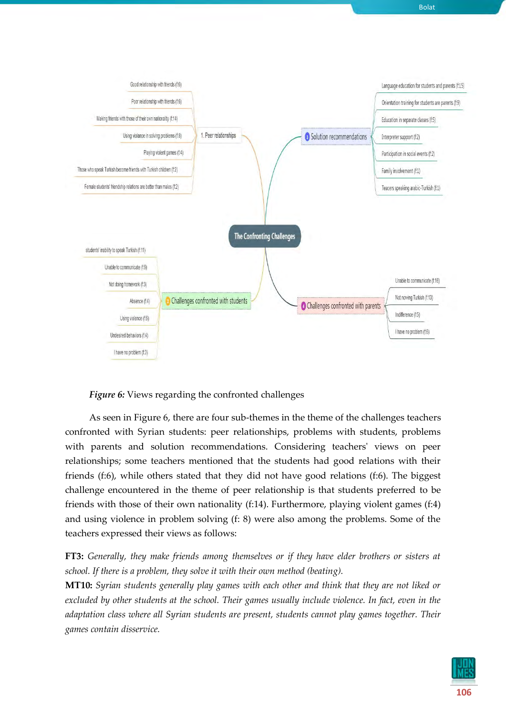

## *Figure 6:* Views regarding the confronted challenges

As seen in Figure 6, there are four sub-themes in the theme of the challenges teachers confronted with Syrian students: peer relationships, problems with students, problems with parents and solution recommendations. Considering teachers' views on peer relationships; some teachers mentioned that the students had good relations with their friends (f:6), while others stated that they did not have good relations (f:6). The biggest challenge encountered in the theme of peer relationship is that students preferred to be friends with those of their own nationality (f:14). Furthermore, playing violent games (f:4) and using violence in problem solving (f: 8) were also among the problems. Some of the teachers expressed their views as follows:

**FT3:** *Generally, they make friends among themselves or if they have elder brothers or sisters at school. If there is a problem, they solve it with their own method (beating).*

**MT10:** *Syrian students generally play games with each other and think that they are not liked or excluded by other students at the school. Their games usually include violence. In fact, even in the adaptation class where all Syrian students are present, students cannot play games together. Their games contain disservice.* 

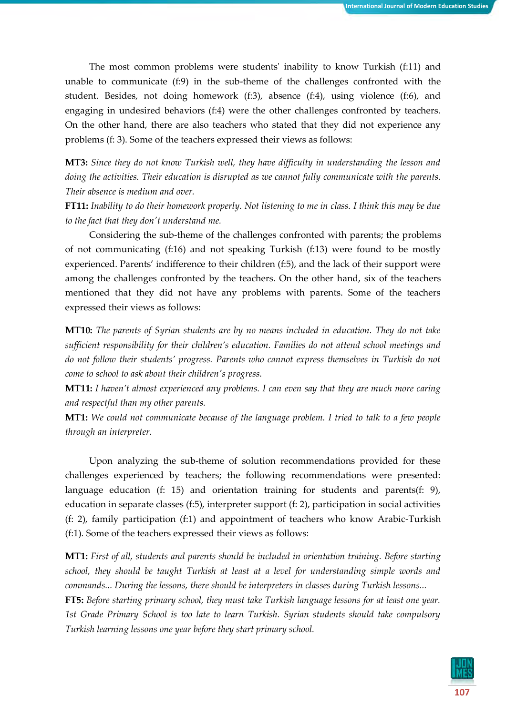The most common problems were students' inability to know Turkish (f:11) and unable to communicate (f:9) in the sub-theme of the challenges confronted with the student. Besides, not doing homework (f:3), absence (f:4), using violence (f:6), and engaging in undesired behaviors (f:4) were the other challenges confronted by teachers. On the other hand, there are also teachers who stated that they did not experience any problems (f: 3). Some of the teachers expressed their views as follows:

**MT3:** *Since they do not know Turkish well, they have difficulty in understanding the lesson and doing the activities. Their education is disrupted as we cannot fully communicate with the parents. Their absence is medium and over.*

**FT11:** *Inability to do their homework properly. Not listening to me in class. I think this may be due to the fact that they don't understand me.*

Considering the sub-theme of the challenges confronted with parents; the problems of not communicating (f:16) and not speaking Turkish (f:13) were found to be mostly experienced. Parents' indifference to their children (f:5), and the lack of their support were among the challenges confronted by the teachers. On the other hand, six of the teachers mentioned that they did not have any problems with parents. Some of the teachers expressed their views as follows:

**MT10:** *The parents of Syrian students are by no means included in education. They do not take sufficient responsibility for their children's education. Families do not attend school meetings and do not follow their students' progress. Parents who cannot express themselves in Turkish do not come to school to ask about their children's progress.*

**MT11:** *I haven't almost experienced any problems. I can even say that they are much more caring and respectful than my other parents.*

**MT1:** *We could not communicate because of the language problem. I tried to talk to a few people through an interpreter.*

Upon analyzing the sub-theme of solution recommendations provided for these challenges experienced by teachers; the following recommendations were presented: language education (f: 15) and orientation training for students and parents(f: 9), education in separate classes (f:5), interpreter support (f: 2), participation in social activities (f: 2), family participation (f:1) and appointment of teachers who know Arabic-Turkish (f:1). Some of the teachers expressed their views as follows:

**MT1:** *First of all, students and parents should be included in orientation training. Before starting school, they should be taught Turkish at least at a level for understanding simple words and commands... During the lessons, there should be interpreters in classes during Turkish lessons...*

**FT5:** *Before starting primary school, they must take Turkish language lessons for at least one year. 1st Grade Primary School is too late to learn Turkish. Syrian students should take compulsory Turkish learning lessons one year before they start primary school.*

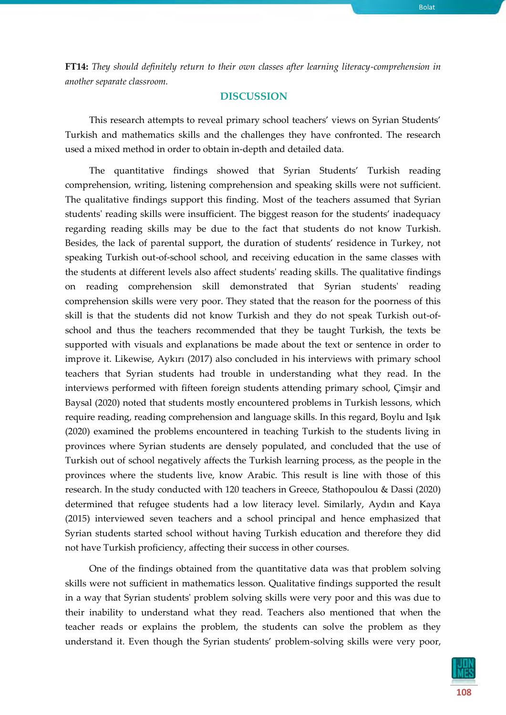**FT14:** *They should definitely return to their own classes after learning literacy-comprehension in another separate classroom.*

# **DISCUSSION**

This research attempts to reveal primary school teachers' views on Syrian Students' Turkish and mathematics skills and the challenges they have confronted. The research used a mixed method in order to obtain in-depth and detailed data.

The quantitative findings showed that Syrian Students' Turkish reading comprehension, writing, listening comprehension and speaking skills were not sufficient. The qualitative findings support this finding. Most of the teachers assumed that Syrian students' reading skills were insufficient. The biggest reason for the students' inadequacy regarding reading skills may be due to the fact that students do not know Turkish. Besides, the lack of parental support, the duration of students' residence in Turkey, not speaking Turkish out-of-school school, and receiving education in the same classes with the students at different levels also affect students' reading skills. The qualitative findings on reading comprehension skill demonstrated that Syrian students' reading comprehension skills were very poor. They stated that the reason for the poorness of this skill is that the students did not know Turkish and they do not speak Turkish out-ofschool and thus the teachers recommended that they be taught Turkish, the texts be supported with visuals and explanations be made about the text or sentence in order to improve it. Likewise, Aykırı (2017) also concluded in his interviews with primary school teachers that Syrian students had trouble in understanding what they read. In the interviews performed with fifteen foreign students attending primary school, Çimşir and Baysal (2020) noted that students mostly encountered problems in Turkish lessons, which require reading, reading comprehension and language skills. In this regard, Boylu and Işık (2020) examined the problems encountered in teaching Turkish to the students living in provinces where Syrian students are densely populated, and concluded that the use of Turkish out of school negatively affects the Turkish learning process, as the people in the provinces where the students live, know Arabic. This result is line with those of this research. In the study conducted with 120 teachers in Greece, Stathopoulou & Dassi (2020) determined that refugee students had a low literacy level. Similarly, Aydın and Kaya (2015) interviewed seven teachers and a school principal and hence emphasized that Syrian students started school without having Turkish education and therefore they did not have Turkish proficiency, affecting their success in other courses.

One of the findings obtained from the quantitative data was that problem solving skills were not sufficient in mathematics lesson. Qualitative findings supported the result in a way that Syrian students' problem solving skills were very poor and this was due to their inability to understand what they read. Teachers also mentioned that when the teacher reads or explains the problem, the students can solve the problem as they understand it. Even though the Syrian students' problem-solving skills were very poor,

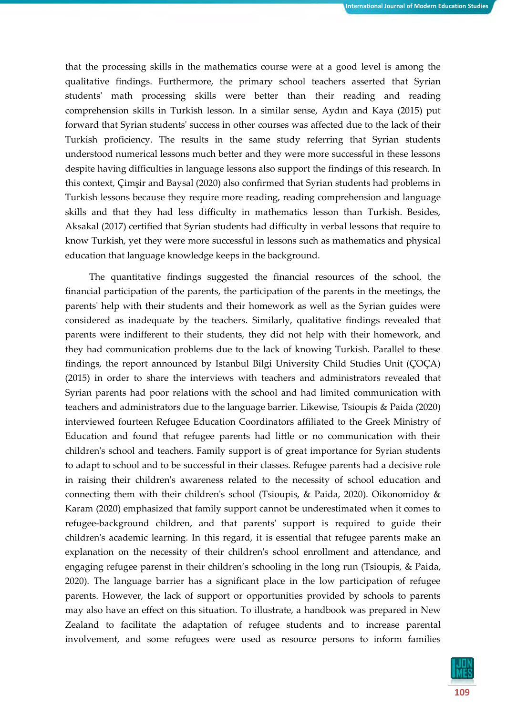that the processing skills in the mathematics course were at a good level is among the qualitative findings. Furthermore, the primary school teachers asserted that Syrian students' math processing skills were better than their reading and reading comprehension skills in Turkish lesson. In a similar sense, Aydın and Kaya (2015) put forward that Syrian students' success in other courses was affected due to the lack of their Turkish proficiency. The results in the same study referring that Syrian students understood numerical lessons much better and they were more successful in these lessons despite having difficulties in language lessons also support the findings of this research. In this context, Çimşir and Baysal (2020) also confirmed that Syrian students had problems in Turkish lessons because they require more reading, reading comprehension and language skills and that they had less difficulty in mathematics lesson than Turkish. Besides, Aksakal (2017) certified that Syrian students had difficulty in verbal lessons that require to know Turkish, yet they were more successful in lessons such as mathematics and physical education that language knowledge keeps in the background.

The quantitative findings suggested the financial resources of the school, the financial participation of the parents, the participation of the parents in the meetings, the parents' help with their students and their homework as well as the Syrian guides were considered as inadequate by the teachers. Similarly, qualitative findings revealed that parents were indifferent to their students, they did not help with their homework, and they had communication problems due to the lack of knowing Turkish. Parallel to these findings, the report announced by Istanbul Bilgi University Child Studies Unit (ÇOÇA) (2015) in order to share the interviews with teachers and administrators revealed that Syrian parents had poor relations with the school and had limited communication with teachers and administrators due to the language barrier. Likewise, Tsioupis & Paida (2020) interviewed fourteen Refugee Education Coordinators affiliated to the Greek Ministry of Education and found that refugee parents had little or no communication with their children's school and teachers. Family support is of great importance for Syrian students to adapt to school and to be successful in their classes. Refugee parents had a decisive role in raising their children's awareness related to the necessity of school education and connecting them with their children's school (Tsioupis, & Paida, 2020). Oikonomidoy & Karam (2020) emphasized that family support cannot be underestimated when it comes to refugee-background children, and that parents' support is required to guide their children's academic learning. In this regard, it is essential that refugee parents make an explanation on the necessity of their children's school enrollment and attendance, and engaging refugee parenst in their children's schooling in the long run (Tsioupis, & Paida, 2020). The language barrier has a significant place in the low participation of refugee parents. However, the lack of support or opportunities provided by schools to parents may also have an effect on this situation. To illustrate, a handbook was prepared in New Zealand to facilitate the adaptation of refugee students and to increase parental involvement, and some refugees were used as resource persons to inform families

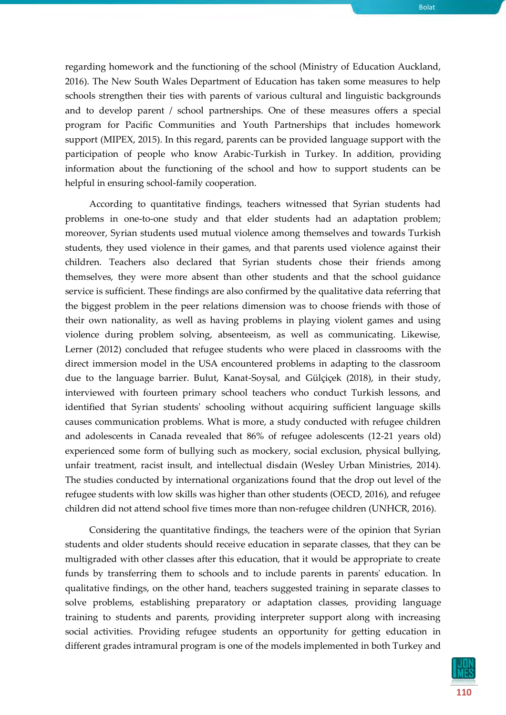regarding homework and the functioning of the school (Ministry of Education Auckland, 2016). The New South Wales Department of Education has taken some measures to help schools strengthen their ties with parents of various cultural and linguistic backgrounds and to develop parent / school partnerships. One of these measures offers a special program for Pacific Communities and Youth Partnerships that includes homework support (MIPEX, 2015). In this regard, parents can be provided language support with the participation of people who know Arabic-Turkish in Turkey. In addition, providing information about the functioning of the school and how to support students can be helpful in ensuring school-family cooperation.

According to quantitative findings, teachers witnessed that Syrian students had problems in one-to-one study and that elder students had an adaptation problem; moreover, Syrian students used mutual violence among themselves and towards Turkish students, they used violence in their games, and that parents used violence against their children. Teachers also declared that Syrian students chose their friends among themselves, they were more absent than other students and that the school guidance service is sufficient. These findings are also confirmed by the qualitative data referring that the biggest problem in the peer relations dimension was to choose friends with those of their own nationality, as well as having problems in playing violent games and using violence during problem solving, absenteeism, as well as communicating. Likewise, Lerner (2012) concluded that refugee students who were placed in classrooms with the direct immersion model in the USA encountered problems in adapting to the classroom due to the language barrier. Bulut, Kanat-Soysal, and Gülçiçek (2018), in their study, interviewed with fourteen primary school teachers who conduct Turkish lessons, and identified that Syrian students' schooling without acquiring sufficient language skills causes communication problems. What is more, a study conducted with refugee children and adolescents in Canada revealed that 86% of refugee adolescents (12-21 years old) experienced some form of bullying such as mockery, social exclusion, physical bullying, unfair treatment, racist insult, and intellectual disdain (Wesley Urban Ministries, 2014). The studies conducted by international organizations found that the drop out level of the refugee students with low skills was higher than other students (OECD, 2016), and refugee children did not attend school five times more than non-refugee children (UNHCR, 2016).

Considering the quantitative findings, the teachers were of the opinion that Syrian students and older students should receive education in separate classes, that they can be multigraded with other classes after this education, that it would be appropriate to create funds by transferring them to schools and to include parents in parents' education. In qualitative findings, on the other hand, teachers suggested training in separate classes to solve problems, establishing preparatory or adaptation classes, providing language training to students and parents, providing interpreter support along with increasing social activities. Providing refugee students an opportunity for getting education in different grades intramural program is one of the models implemented in both Turkey and

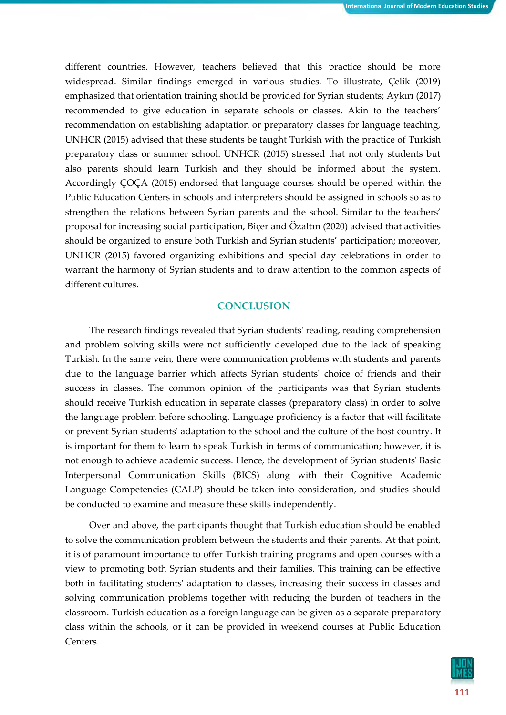different countries. However, teachers believed that this practice should be more widespread. Similar findings emerged in various studies. To illustrate, Çelik (2019) emphasized that orientation training should be provided for Syrian students; Aykırı (2017) recommended to give education in separate schools or classes. Akin to the teachers' recommendation on establishing adaptation or preparatory classes for language teaching, UNHCR (2015) advised that these students be taught Turkish with the practice of Turkish preparatory class or summer school. UNHCR (2015) stressed that not only students but also parents should learn Turkish and they should be informed about the system. Accordingly ÇOÇA (2015) endorsed that language courses should be opened within the Public Education Centers in schools and interpreters should be assigned in schools so as to strengthen the relations between Syrian parents and the school. Similar to the teachers' proposal for increasing social participation, Biçer and Özaltın (2020) advised that activities should be organized to ensure both Turkish and Syrian students' participation; moreover, UNHCR (2015) favored organizing exhibitions and special day celebrations in order to warrant the harmony of Syrian students and to draw attention to the common aspects of different cultures.

# **CONCLUSION**

The research findings revealed that Syrian students' reading, reading comprehension and problem solving skills were not sufficiently developed due to the lack of speaking Turkish. In the same vein, there were communication problems with students and parents due to the language barrier which affects Syrian students' choice of friends and their success in classes. The common opinion of the participants was that Syrian students should receive Turkish education in separate classes (preparatory class) in order to solve the language problem before schooling. Language proficiency is a factor that will facilitate or prevent Syrian students' adaptation to the school and the culture of the host country. It is important for them to learn to speak Turkish in terms of communication; however, it is not enough to achieve academic success. Hence, the development of Syrian students' Basic Interpersonal Communication Skills (BICS) along with their Cognitive Academic Language Competencies (CALP) should be taken into consideration, and studies should be conducted to examine and measure these skills independently.

Over and above, the participants thought that Turkish education should be enabled to solve the communication problem between the students and their parents. At that point, it is of paramount importance to offer Turkish training programs and open courses with a view to promoting both Syrian students and their families. This training can be effective both in facilitating students' adaptation to classes, increasing their success in classes and solving communication problems together with reducing the burden of teachers in the classroom. Turkish education as a foreign language can be given as a separate preparatory class within the schools, or it can be provided in weekend courses at Public Education Centers.

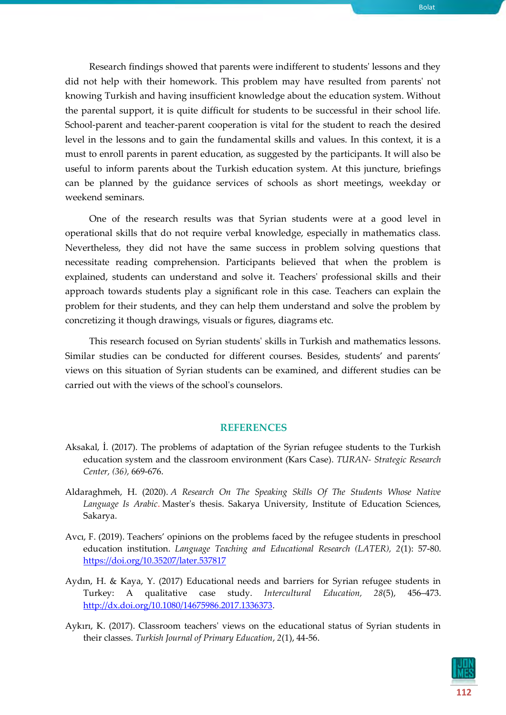Research findings showed that parents were indifferent to students' lessons and they did not help with their homework. This problem may have resulted from parents' not knowing Turkish and having insufficient knowledge about the education system. Without the parental support, it is quite difficult for students to be successful in their school life. School-parent and teacher-parent cooperation is vital for the student to reach the desired level in the lessons and to gain the fundamental skills and values. In this context, it is a must to enroll parents in parent education, as suggested by the participants. It will also be useful to inform parents about the Turkish education system. At this juncture, briefings can be planned by the guidance services of schools as short meetings, weekday or weekend seminars.

One of the research results was that Syrian students were at a good level in operational skills that do not require verbal knowledge, especially in mathematics class. Nevertheless, they did not have the same success in problem solving questions that necessitate reading comprehension. Participants believed that when the problem is explained, students can understand and solve it. Teachers' professional skills and their approach towards students play a significant role in this case. Teachers can explain the problem for their students, and they can help them understand and solve the problem by concretizing it though drawings, visuals or figures, diagrams etc.

This research focused on Syrian students' skills in Turkish and mathematics lessons. Similar studies can be conducted for different courses. Besides, students' and parents' views on this situation of Syrian students can be examined, and different studies can be carried out with the views of the school's counselors.

## **REFERENCES**

- Aksakal, İ. (2017). The problems of adaptation of the Syrian refugee students to the Turkish education system and the classroom environment (Kars Case). *TURAN- Strategic Research Center, (36),* 669-676.
- Aldaraghmeh, H. (2020). *A Research On The Speaking Skills Of The Students Whose Native Language Is Arabic*. Master's thesis. Sakarya University, Institute of Education Sciences, Sakarya.
- Avcı, F. (2019). Teachers' opinions on the problems faced by the refugee students in preschool education institution. *Language Teaching and Educational Research (LATER), 2*(1): 57-80. <https://doi.org/10.35207/later.537817>
- Aydın, H. & Kaya, Y. (2017) Educational needs and barriers for Syrian refugee students in Turkey: A qualitative case study. *Intercultural Education, 28*(5), 456–473. [http://dx.doi.org/10.1080/14675986.2017.1336373.](http://dx.doi.org/10.1080/14675986.2017.1336373)
- Aykırı, K. (2017). Classroom teachers' views on the educational status of Syrian students in their classes. *Turkish Journal of Primary Education*, *2*(1), 44-56.

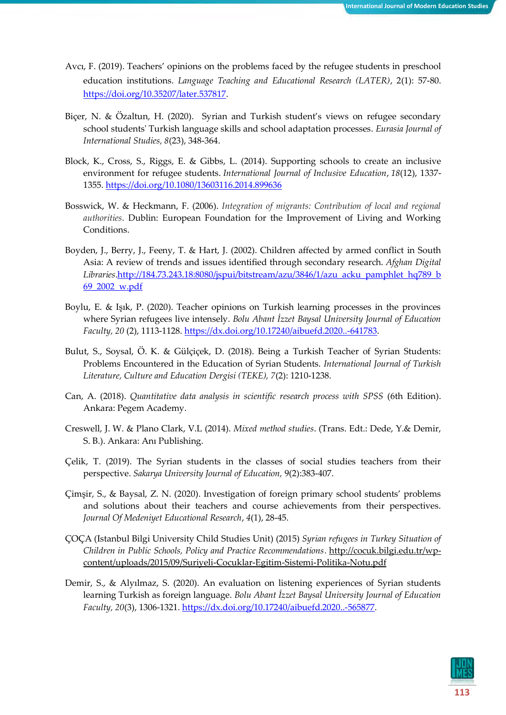- Avcı, F. (2019). Teachers' opinions on the problems faced by the refugee students in preschool education institutions. *Language Teaching and Educational Research (LATER)*, 2(1): 57-80. [https://doi.org/10.35207/later.537817.](https://doi.org/10.35207/later.537817)
- Biçer, N. & Özaltun, H. (2020). Syrian and Turkish student's views on refugee secondary school students' Turkish language skills and school adaptation processes. *Eurasia Journal of International Studies, 8*(23), 348-364.
- Block, K., Cross, S., Riggs, E. & Gibbs, L. (2014). Supporting schools to create an inclusive environment for refugee students. *International Journal of Inclusive Education*, *18*(12), 1337- 1355.<https://doi.org/10.1080/13603116.2014.899636>
- Bosswick, W. & Heckmann, F. (2006). *Integration of migrants: Contribution of local and regional authorities*. Dublin: European Foundation for the Improvement of Living and Working Conditions.
- Boyden, J., Berry, J., Feeny, T. & Hart, J. (2002). Children affected by armed conflict in South Asia: A review of trends and issues identified through secondary research. *Afghan Digital Libraries*[.http://184.73.243.18:8080/jspui/bitstream/azu/3846/1/azu\\_acku\\_pamphlet\\_hq789\\_b](http://184.73.243.18:8080/jspui/bitstream/azu/3846/1/azu_acku_pamphlet_hq789_b69_2002_w.pdf) [69\\_2002\\_w.pdf](http://184.73.243.18:8080/jspui/bitstream/azu/3846/1/azu_acku_pamphlet_hq789_b69_2002_w.pdf)
- Boylu, E. & Işık, P. (2020). Teacher opinions on Turkish learning processes in the provinces where Syrian refugees live intensely. *Bolu Abant İzzet Baysal University Journal of Education Faculty, 20* (2), 1113-1128[. https://dx.doi.org/10.17240/aibuefd.2020..-641783.](https://dx.doi.org/10.17240/aibuefd.2020..-641783)
- Bulut, S., Soysal, Ö. K. & Gülçiçek, D. (2018). Being a Turkish Teacher of Syrian Students: Problems Encountered in the Education of Syrian Students. *International Journal of Turkish Literature, Culture and Education Dergisi (TEKE), 7*(2): 1210-1238.
- Can, A. (2018). *Quantitative data analysis in scientific research process with SPSS* (6th Edition). Ankara: Pegem Academy.
- Creswell, J. W. & Plano Clark, V.L (2014). *Mixed method studies*. (Trans. Edt.: Dede, Y.& Demir, S. B.). Ankara: Anı Publishing.
- Çelik, T. (2019). The Syrian students in the classes of social studies teachers from their perspective. *Sakarya University Journal of Education,* 9(2):383-407.
- Çimşir, S., & Baysal, Z. N. (2020). Investigation of foreign primary school students' problems and solutions about their teachers and course achievements from their perspectives. *Journal Of Medeniyet Educational Research*, *4*(1), 28-45.
- ÇOÇA (Istanbul Bilgi University Child Studies Unit) (2015) *Syrian refugees in Turkey Situation of Children in Public Schools, Policy and Practice Recommendations*. [http://cocuk.bilgi.edu.tr/wp](http://cocuk.bilgi.edu.tr/wp-content/uploads/2015/09/Suriyeli-Cocuklar-Egitim-Sistemi-Politika-Notu.pdf)[content/uploads/2015/09/Suriyeli-Cocuklar-Egitim-Sistemi-Politika-Notu.pdf](http://cocuk.bilgi.edu.tr/wp-content/uploads/2015/09/Suriyeli-Cocuklar-Egitim-Sistemi-Politika-Notu.pdf)
- Demir, S., & Alyılmaz, S. (2020). An evaluation on listening experiences of Syrian students learning Turkish as foreign language. *Bolu Abant İzzet Baysal University Journal of Education Faculty, 20*(3), 1306-1321. [https://dx.doi.org/10.17240/aibuefd.2020..-565877.](https://dx.doi.org/10.17240/aibuefd.2020..-565877)

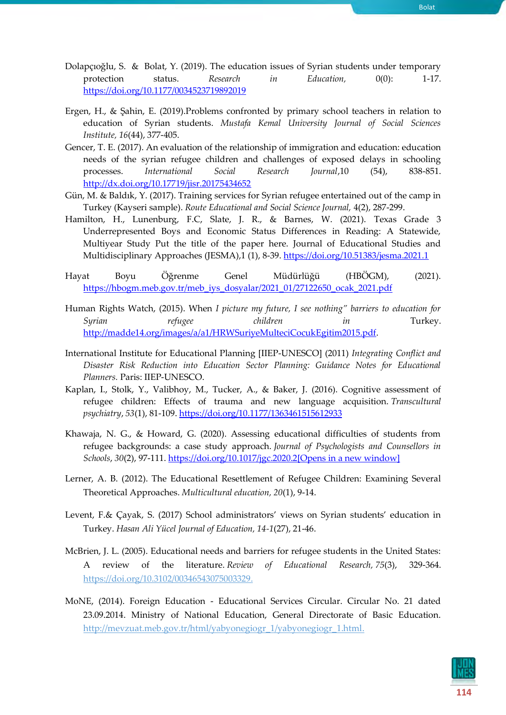- Dolapçıoğlu, S. & Bolat, Y. (2019). The education issues of Syrian students under temporary protection status. *Research in Education,* 0(0): 1-17. <https://doi.org/10.1177/0034523719892019>
- Ergen, H., & Şahin, E. (2019).Problems confronted by primary school teachers in relation to education of Syrian students. *Mustafa Kemal University Journal of Social Sciences Institute, 16*(44), 377-405.
- Gencer, T. E. (2017). An evaluation of the relationship of immigration and education: education needs of the syrian refugee children and challenges of exposed delays in schooling processes. *International Social Research Journal*,10 (54), 838-851. <http://dx.doi.org/10.17719/jisr.20175434652>
- Gün, M. & Baldık, Y. (2017). Training services for Syrian refugee entertained out of the camp in Turkey (Kayseri sample). *Route Educational and Social Science Journal,* 4(2), 287-299.
- Hamilton, H., Lunenburg, F.C, Slate, J. R., & Barnes, W. (2021). Texas Grade 3 Underrepresented Boys and Economic Status Differences in Reading: A Statewide, Multiyear Study Put the title of the paper here. Journal of Educational Studies and Multidisciplinary Approaches (JESMA),1 (1), 8-39[. https://doi.org/10.51383/jesma.2021.1](https://doi.org/10.51383/jesma.2021.1)
- Hayat Boyu Öğrenme Genel Müdürlüğü (HBÖGM), (2021). [https://hbogm.meb.gov.tr/meb\\_iys\\_dosyalar/2021\\_01/27122650\\_ocak\\_2021.pdf](https://hbogm.meb.gov.tr/meb_iys_dosyalar/2021_01/27122650_ocak_2021.pdf)
- Human Rights Watch, (2015). When *I picture my future, I see nothing" barriers to education for Syrian refugee children in* Turkey. [http://madde14.org/images/a/a1/HRWSuriyeMulteciCocukEgitim2015.pdf.](http://madde14.org/images/a/a1/HRWSuriyeMulteciCocukEgitim2015.pdf)
- International Institute for Educational Planning [IIEP-UNESCO] (2011) *Integrating Conflict and Disaster Risk Reduction into Education Sector Planning: Guidance Notes for Educational Planners.* Paris: IIEP-UNESCO.
- Kaplan, I., Stolk, Y., Valibhoy, M., Tucker, A., & Baker, J. (2016). Cognitive assessment of refugee children: Effects of trauma and new language acquisition. *Transcultural psychiatry*, *53*(1), 81-109[. https://doi.org/10.1177/1363461515612933](https://doi.org/10.1177%2F1363461515612933)
- Khawaja, N. G., & Howard, G. (2020). Assessing educational difficulties of students from refugee backgrounds: a case study approach. *Journal of Psychologists and Counsellors in Schools*, *30*(2), 97-111. [https://doi.org/10.1017/jgc.2020.2\[Opens in a new window\]](https://doi.org/10.1017/jgc.2020.2)
- Lerner, A. B. (2012). The Educational Resettlement of Refugee Children: Examining Several Theoretical Approaches. *Multicultural education, 20*(1), 9-14.
- Levent, F.& Çayak, S. (2017) School administrators' views on Syrian students' education in Turkey. *Hasan Ali Yücel Journal of Education, 14-1*(27), 21-46.
- McBrien, J. L. (2005). Educational needs and barriers for refugee students in the United States: A review of the literature. *Review of Educational Research, 75*(3), 329-364. [https://doi.org/10.3102/00346543075003329.](https://doi.org/10.3102%2F00346543075003329)
- MoNE, (2014). Foreign Education Educational Services Circular. Circular No. 21 dated 23.09.2014. Ministry of National Education, General Directorate of Basic Education. [http://mevzuat.meb.gov.tr/html/yabyonegiogr\\_1/yabyonegiogr\\_1.html.](http://mevzuat.meb.gov.tr/html/yabyonegiogr_1/yabyonegiogr_1.html)

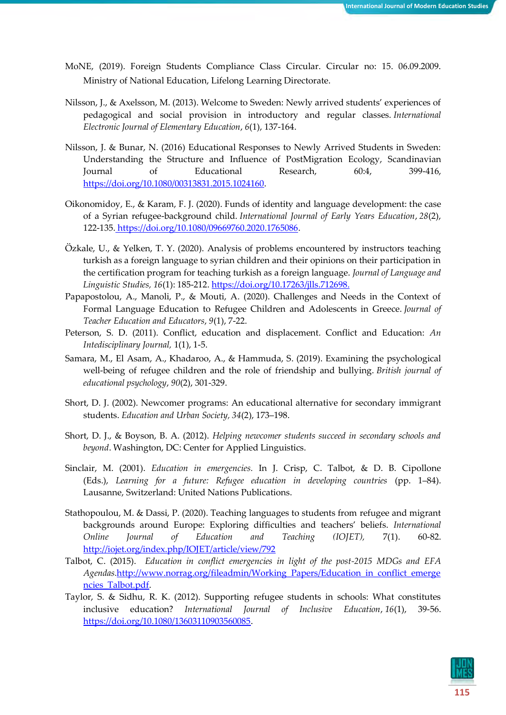- MoNE, (2019). Foreign Students Compliance Class Circular. Circular no: 15. 06.09.2009. Ministry of National Education, Lifelong Learning Directorate.
- Nilsson, J., & Axelsson, M. (2013). Welcome to Sweden: Newly arrived students' experiences of pedagogical and social provision in introductory and regular classes. *International Electronic Journal of Elementary Education*, *6*(1), 137-164.
- Nilsson, J. & Bunar, N. (2016) Educational Responses to Newly Arrived Students in Sweden: Understanding the Structure and Influence of PostMigration Ecology, Scandinavian Journal of Educational Research, 60:4, 399-416, [https://doi.org/10.1080/00313831.2015.1024160.](https://doi.org/10.1080/00313831.2015.1024160)
- Oikonomidoy, E., & Karam, F. J. (2020). Funds of identity and language development: the case of a Syrian refugee-background child. *International Journal of Early Years Education*, *28*(2), 122-135. [https://doi.org/10.1080/09669760.2020.1765086.](https://doi.org/10.1080/09669760.2020.1765086)
- Özkale, U., & Yelken, T. Y. (2020). Analysis of problems encountered by instructors teaching turkish as a foreign language to syrian children and their opinions on their participation in the certification program for teaching turkish as a foreign language. *Journal of Language and Linguistic Studies, 16*(1): 185-212. [https://doi.org/10.17263/jlls.712698.](https://doi.org/10.17263/jlls.712698)
- Papapostolou, A., Manoli, P., & Mouti, A. (2020). Challenges and Needs in the Context of Formal Language Education to Refugee Children and Adolescents in Greece. *Journal of Teacher Education and Educators*, *9*(1), 7-22.
- Peterson, S. D. (2011). Conflict, education and displacement. Conflict and Education: *An Intedisciplinary Journal,* 1(1), 1-5.
- Samara, M., El Asam, A., Khadaroo, A., & Hammuda, S. (2019). Examining the psychological well-being of refugee children and the role of friendship and bullying. *British journal of educational psychology*, *90*(2), 301-329.
- Short, D. J. (2002). Newcomer programs: An educational alternative for secondary immigrant students. *Education and Urban Society, 34*(2), 173–198.
- Short, D. J., & Boyson, B. A. (2012). *Helping newcomer students succeed in secondary schools and beyond*. Washington, DC: Center for Applied Linguistics.
- Sinclair, M. (2001). *Education in emergencies.* In J. Crisp, C. Talbot, & D. B. Cipollone (Eds.), *Learning for a future: Refugee education in developing countries* (pp. 1–84). Lausanne, Switzerland: United Nations Publications.
- Stathopoulou, M. & Dassi, P. (2020). Teaching languages to students from refugee and migrant backgrounds around Europe: Exploring difficulties and teachers' beliefs. *International Online Journal of Education and Teaching (IOJET),* 7(1). 60-82. <http://iojet.org/index.php/IOJET/article/view/792>
- Talbot, C. (2015). *Education in conflict emergencies in light of the post-2015 MDGs and EFA Agendas.*[http://www.norrag.org/fileadmin/Working\\_Papers/Education\\_in\\_conflict\\_emerge](http://www.norrag.org/fileadmin/Working_Papers/Education_in_conflict_emergencies_Talbot.pdf) [ncies\\_Talbot.pdf.](http://www.norrag.org/fileadmin/Working_Papers/Education_in_conflict_emergencies_Talbot.pdf)
- Taylor, S. & Sidhu, R. K. (2012). Supporting refugee students in schools: What constitutes inclusive education? *International Journal of Inclusive Education*, *16*(1), 39-56. [https://doi.org/10.1080/13603110903560085.](https://doi.org/10.1080/13603110903560085)